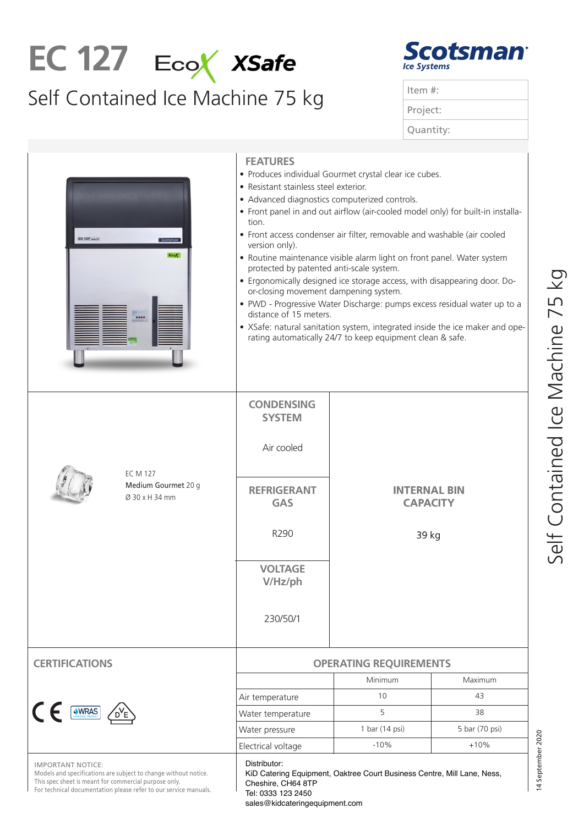## EC 127 EcoX XSafe

## Self Contained Ice Machine 75 kg



| Item $#$ : |  |
|------------|--|
| Project:   |  |
| Quantity:  |  |

| EC 127 easy-tit<br><b>Scotsman</b><br>EcoX                                                                                                                                               | <b>FEATURES</b><br>· Produces individual Gourmet crystal clear ice cubes.<br>• Resistant stainless steel exterior.<br>• Advanced diagnostics computerized controls.<br>• Front panel in and out airflow (air-cooled model only) for built-in installa-<br>tion.<br>• Front access condenser air filter, removable and washable (air cooled<br>version only).<br>• Routine maintenance visible alarm light on front panel. Water system<br>protected by patented anti-scale system.<br>• Ergonomically designed ice storage access, with disappearing door. Do-<br>or-closing movement dampening system.<br>• PWD - Progressive Water Discharge: pumps excess residual water up to a<br>distance of 15 meters.<br>• XSafe: natural sanitation system, integrated inside the ice maker and ope-<br>rating automatically 24/7 to keep equipment clean & safe. |                                                                         |                |  |
|------------------------------------------------------------------------------------------------------------------------------------------------------------------------------------------|------------------------------------------------------------------------------------------------------------------------------------------------------------------------------------------------------------------------------------------------------------------------------------------------------------------------------------------------------------------------------------------------------------------------------------------------------------------------------------------------------------------------------------------------------------------------------------------------------------------------------------------------------------------------------------------------------------------------------------------------------------------------------------------------------------------------------------------------------------|-------------------------------------------------------------------------|----------------|--|
|                                                                                                                                                                                          | <b>CONDENSING</b><br><b>SYSTEM</b><br>Air cooled                                                                                                                                                                                                                                                                                                                                                                                                                                                                                                                                                                                                                                                                                                                                                                                                           |                                                                         |                |  |
| <b>EC M 127</b><br>Medium Gourmet 20 g<br>Ø 30 x H 34 mm                                                                                                                                 | <b>REFRIGERANT</b><br><b>GAS</b>                                                                                                                                                                                                                                                                                                                                                                                                                                                                                                                                                                                                                                                                                                                                                                                                                           | INTERNAL BIN<br><b>CAPACITY</b><br>39 kg                                |                |  |
|                                                                                                                                                                                          | R290                                                                                                                                                                                                                                                                                                                                                                                                                                                                                                                                                                                                                                                                                                                                                                                                                                                       |                                                                         |                |  |
|                                                                                                                                                                                          | <b>VOLTAGE</b><br>V/Hz/ph                                                                                                                                                                                                                                                                                                                                                                                                                                                                                                                                                                                                                                                                                                                                                                                                                                  |                                                                         |                |  |
|                                                                                                                                                                                          | 230/50/1                                                                                                                                                                                                                                                                                                                                                                                                                                                                                                                                                                                                                                                                                                                                                                                                                                                   |                                                                         |                |  |
| <b>RTIFICATIONS</b>                                                                                                                                                                      | <b>OPERATING REQUIREMENTS</b>                                                                                                                                                                                                                                                                                                                                                                                                                                                                                                                                                                                                                                                                                                                                                                                                                              |                                                                         |                |  |
|                                                                                                                                                                                          |                                                                                                                                                                                                                                                                                                                                                                                                                                                                                                                                                                                                                                                                                                                                                                                                                                                            | Minimum                                                                 | <b>Maximum</b> |  |
|                                                                                                                                                                                          | Air temperature                                                                                                                                                                                                                                                                                                                                                                                                                                                                                                                                                                                                                                                                                                                                                                                                                                            | 10                                                                      | 43             |  |
| CE SWRAS AVE                                                                                                                                                                             | Water temperature                                                                                                                                                                                                                                                                                                                                                                                                                                                                                                                                                                                                                                                                                                                                                                                                                                          | 5                                                                       | 38             |  |
|                                                                                                                                                                                          | Water pressure                                                                                                                                                                                                                                                                                                                                                                                                                                                                                                                                                                                                                                                                                                                                                                                                                                             | 1 bar (14 psi)                                                          | 5 bar (70 psi) |  |
|                                                                                                                                                                                          | Electrical voltage                                                                                                                                                                                                                                                                                                                                                                                                                                                                                                                                                                                                                                                                                                                                                                                                                                         | $-10%$                                                                  | $+10%$         |  |
| <b>IMPORTANT NOTICE</b><br>lels and specifications<br>ge without notice.<br>spec sheet is meant for con<br>ose only.<br>ror technical documentation please refer to our service manuals. | Distributor:<br>Cheshire, CH64 8TP<br>Tel: 0333 123 2450<br>sales@kidcateringequipment.com                                                                                                                                                                                                                                                                                                                                                                                                                                                                                                                                                                                                                                                                                                                                                                 | KiD Catering Equipment, Oaktree Court Business Centre, Mill Lane, Ness, |                |  |

14 September 2020

14 September 2020